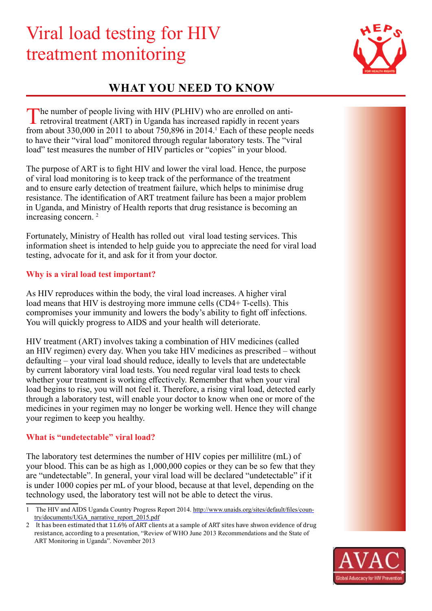# Viral load testing for HIV treatment monitoring



# **what you need to know**

The number of people living with HIV (PLHIV) who are enrolled on anti-<br>retroviral treatment (ART) in Uganda has increased rapidly in recent years from about 330,000 in 2011 to about  $750,896$  in 2014.<sup>1</sup> Each of these people needs to have their "viral load" monitored through regular laboratory tests. The "viral load" test measures the number of HIV particles or "copies" in your blood.

The purpose of ART is to fight HIV and lower the viral load. Hence, the purpose of viral load monitoring is to keep track of the performance of the treatment and to ensure early detection of treatment failure, which helps to minimise drug resistance. The identification of ART treatment failure has been a major problem in Uganda, and Ministry of Health reports that drug resistance is becoming an increasing concern. 2

Fortunately, Ministry of Health has rolled out viral load testing services. This information sheet is intended to help guide you to appreciate the need for viral load testing, advocate for it, and ask for it from your doctor.

## **Why is a viral load test important?**

As HIV reproduces within the body, the viral load increases. A higher viral load means that HIV is destroying more immune cells (CD4+ T-cells). This compromises your immunity and lowers the body's ability to fight off infections. You will quickly progress to AIDS and your health will deteriorate.

HIV treatment (ART) involves taking a combination of HIV medicines (called an HIV regimen) every day. When you take HIV medicines as prescribed – without defaulting – your viral load should reduce, ideally to levels that are undetectable by current laboratory viral load tests. You need regular viral load tests to check whether your treatment is working effectively. Remember that when your viral load begins to rise, you will not feel it. Therefore, a rising viral load, detected early through a laboratory test, will enable your doctor to know when one or more of the medicines in your regimen may no longer be working well. Hence they will change your regimen to keep you healthy.

## **What is "undetectable" viral load?**

The laboratory test determines the number of HIV copies per millilitre (mL) of your blood. This can be as high as 1,000,000 copies or they can be so few that they are "undetectable". In general, your viral load will be declared "undetectable" if it is under 1000 copies per mL of your blood, because at that level, depending on the technology used, the laboratory test will not be able to detect the virus.

It has been estimated that 11.6% of ART clients at a sample of ART sites have shwon evidence of drug resistance, according to a presentation, "Review of WHO June 2013 Recommendations and the State of ART Monitoring in Uganda". November 2013



<sup>1</sup> The HIV and AIDS Uganda Country Progress Report 2014. http://www.unaids.org/sites/default/files/country/documents/UGA\_narrative\_report\_2015.pdf